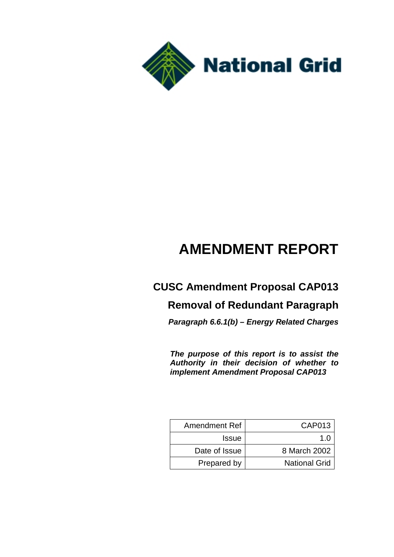

# **AMENDMENT REPORT**

## **CUSC Amendment Proposal CAP013**

## **Removal of Redundant Paragraph**

*Paragraph 6.6.1(b) – Energy Related Charges*

*The purpose of this report is to assist the Authority in their decision of whether to implement Amendment Proposal CAP013*

| <b>Amendment Ref</b> | CAP013               |
|----------------------|----------------------|
| <b>Issue</b>         | 1 በ                  |
| Date of Issue        | 8 March 2002         |
| Prepared by          | <b>National Grid</b> |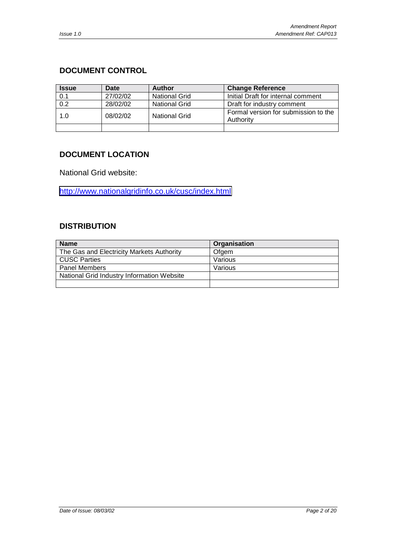## <span id="page-1-0"></span>**DOCUMENT CONTROL**

| <b>Issue</b> | Date     | <b>Author</b>                                      | <b>Change Reference</b>                           |  |
|--------------|----------|----------------------------------------------------|---------------------------------------------------|--|
| 0.1          | 27/02/02 | <b>National Grid</b>                               | Initial Draft for internal comment                |  |
| 0.2          | 28/02/02 | <b>National Grid</b><br>Draft for industry comment |                                                   |  |
| 1.0          | 08/02/02 | <b>National Grid</b>                               | Formal version for submission to the<br>Authority |  |
|              |          |                                                    |                                                   |  |

### **DOCUMENT LOCATION**

National Grid website:

<http://www.nationalgridinfo.co.uk/cusc/index.html>

#### **DISTRIBUTION**

| <b>Name</b>                                | Organisation |
|--------------------------------------------|--------------|
| The Gas and Electricity Markets Authority  | Ofgem        |
| <b>CUSC Parties</b>                        | Various      |
| <b>Panel Members</b>                       | Various      |
| National Grid Industry Information Website |              |
|                                            |              |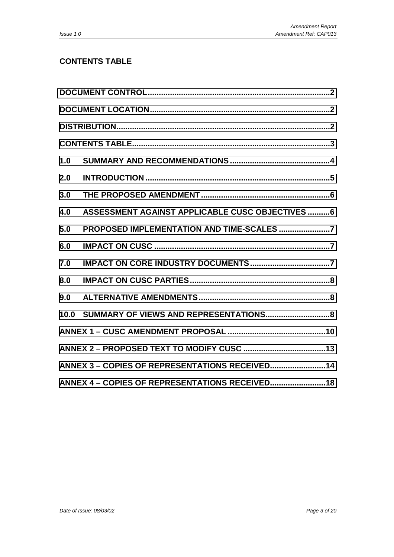## **CONTENTS TABLE**

| 1.0  |                                                  |  |
|------|--------------------------------------------------|--|
| 2.0  |                                                  |  |
| 3.0  |                                                  |  |
| 4.0  | ASSESSMENT AGAINST APPLICABLE CUSC OBJECTIVES  6 |  |
| 5.0  |                                                  |  |
| 6.0  |                                                  |  |
| 7.0  |                                                  |  |
| 8.0  |                                                  |  |
| 9.0  |                                                  |  |
| 10.0 |                                                  |  |
|      |                                                  |  |
|      |                                                  |  |
|      | ANNEX 3 - COPIES OF REPRESENTATIONS RECEIVED 14  |  |
|      |                                                  |  |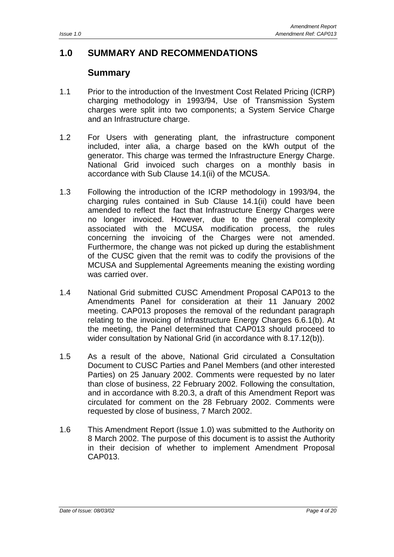## <span id="page-3-0"></span>**1.0 SUMMARY AND RECOMMENDATIONS**

## **Summary**

- 1.1 Prior to the introduction of the Investment Cost Related Pricing (ICRP) charging methodology in 1993/94, Use of Transmission System charges were split into two components; a System Service Charge and an Infrastructure charge.
- 1.2 For Users with generating plant, the infrastructure component included, inter alia, a charge based on the kWh output of the generator. This charge was termed the Infrastructure Energy Charge. National Grid invoiced such charges on a monthly basis in accordance with Sub Clause 14.1(ii) of the MCUSA.
- 1.3 Following the introduction of the ICRP methodology in 1993/94, the charging rules contained in Sub Clause 14.1(ii) could have been amended to reflect the fact that Infrastructure Energy Charges were no longer invoiced. However, due to the general complexity associated with the MCUSA modification process, the rules concerning the invoicing of the Charges were not amended. Furthermore, the change was not picked up during the establishment of the CUSC given that the remit was to codify the provisions of the MCUSA and Supplemental Agreements meaning the existing wording was carried over.
- 1.4 National Grid submitted CUSC Amendment Proposal CAP013 to the Amendments Panel for consideration at their 11 January 2002 meeting. CAP013 proposes the removal of the redundant paragraph relating to the invoicing of Infrastructure Energy Charges 6.6.1(b). At the meeting, the Panel determined that CAP013 should proceed to wider consultation by National Grid (in accordance with 8.17.12(b)).
- 1.5 As a result of the above, National Grid circulated a Consultation Document to CUSC Parties and Panel Members (and other interested Parties) on 25 January 2002. Comments were requested by no later than close of business, 22 February 2002. Following the consultation, and in accordance with 8.20.3, a draft of this Amendment Report was circulated for comment on the 28 February 2002. Comments were requested by close of business, 7 March 2002.
- 1.6 This Amendment Report (Issue 1.0) was submitted to the Authority on 8 March 2002. The purpose of this document is to assist the Authority in their decision of whether to implement Amendment Proposal CAP013.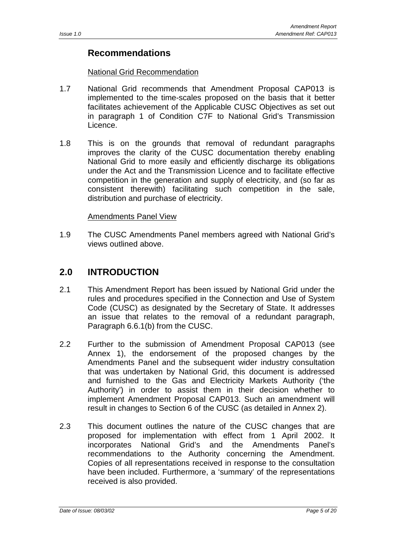## <span id="page-4-0"></span>**Recommendations**

#### National Grid Recommendation

- 1.7 National Grid recommends that Amendment Proposal CAP013 is implemented to the time-scales proposed on the basis that it better facilitates achievement of the Applicable CUSC Objectives as set out in paragraph 1 of Condition C7F to National Grid's Transmission Licence.
- 1.8 This is on the grounds that removal of redundant paragraphs improves the clarity of the CUSC documentation thereby enabling National Grid to more easily and efficiently discharge its obligations under the Act and the Transmission Licence and to facilitate effective competition in the generation and supply of electricity, and (so far as consistent therewith) facilitating such competition in the sale, distribution and purchase of electricity.

#### Amendments Panel View

1.9 The CUSC Amendments Panel members agreed with National Grid's views outlined above.

## **2.0 INTRODUCTION**

- 2.1 This Amendment Report has been issued by National Grid under the rules and procedures specified in the Connection and Use of System Code (CUSC) as designated by the Secretary of State. It addresses an issue that relates to the removal of a redundant paragraph, Paragraph 6.6.1(b) from the CUSC.
- 2.2 Further to the submission of Amendment Proposal CAP013 (see Annex 1), the endorsement of the proposed changes by the Amendments Panel and the subsequent wider industry consultation that was undertaken by National Grid, this document is addressed and furnished to the Gas and Electricity Markets Authority ('the Authority') in order to assist them in their decision whether to implement Amendment Proposal CAP013. Such an amendment will result in changes to Section 6 of the CUSC (as detailed in Annex 2).
- 2.3 This document outlines the nature of the CUSC changes that are proposed for implementation with effect from 1 April 2002. It incorporates National Grid's and the Amendments Panel's recommendations to the Authority concerning the Amendment. Copies of all representations received in response to the consultation have been included. Furthermore, a 'summary' of the representations received is also provided.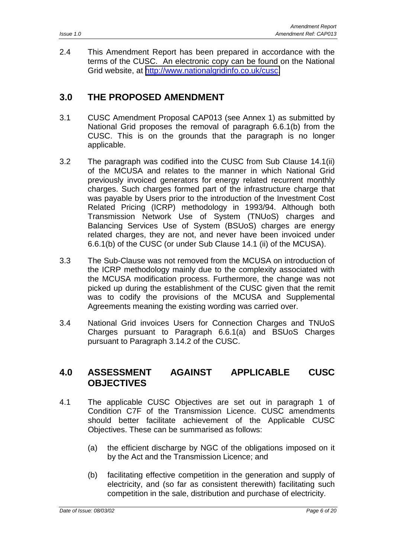<span id="page-5-0"></span>2.4 This Amendment Report has been prepared in accordance with the terms of the CUSC. An electronic copy can be found on the National Grid website, at [http://www.nationalgridinfo.co.uk/cusc.](http://www.nationalgridinfo.co.uk/cusc)

## **3.0 THE PROPOSED AMENDMENT**

- 3.1 CUSC Amendment Proposal CAP013 (see Annex 1) as submitted by National Grid proposes the removal of paragraph 6.6.1(b) from the CUSC. This is on the grounds that the paragraph is no longer applicable.
- 3.2 The paragraph was codified into the CUSC from Sub Clause 14.1(ii) of the MCUSA and relates to the manner in which National Grid previously invoiced generators for energy related recurrent monthly charges. Such charges formed part of the infrastructure charge that was payable by Users prior to the introduction of the Investment Cost Related Pricing (ICRP) methodology in 1993/94. Although both Transmission Network Use of System (TNUoS) charges and Balancing Services Use of System (BSUoS) charges are energy related charges, they are not, and never have been invoiced under 6.6.1(b) of the CUSC (or under Sub Clause 14.1 (ii) of the MCUSA).
- 3.3 The Sub-Clause was not removed from the MCUSA on introduction of the ICRP methodology mainly due to the complexity associated with the MCUSA modification process. Furthermore, the change was not picked up during the establishment of the CUSC given that the remit was to codify the provisions of the MCUSA and Supplemental Agreements meaning the existing wording was carried over.
- 3.4 National Grid invoices Users for Connection Charges and TNUoS Charges pursuant to Paragraph 6.6.1(a) and BSUoS Charges pursuant to Paragraph 3.14.2 of the CUSC.

## **4.0 ASSESSMENT AGAINST APPLICABLE CUSC OBJECTIVES**

- 4.1 The applicable CUSC Objectives are set out in paragraph 1 of Condition C7F of the Transmission Licence. CUSC amendments should better facilitate achievement of the Applicable CUSC Objectives. These can be summarised as follows:
	- (a) the efficient discharge by NGC of the obligations imposed on it by the Act and the Transmission Licence; and
	- (b) facilitating effective competition in the generation and supply of electricity, and (so far as consistent therewith) facilitating such competition in the sale, distribution and purchase of electricity.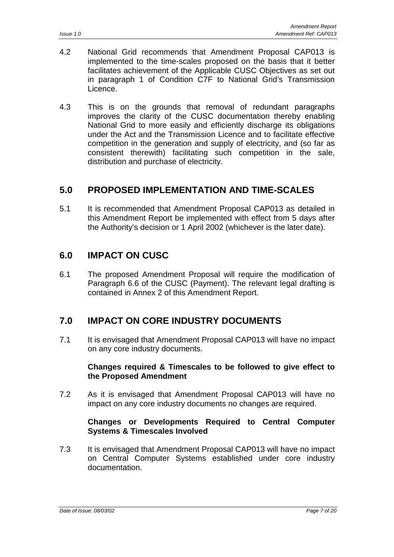- <span id="page-6-0"></span>4.2 National Grid recommends that Amendment Proposal CAP013 is implemented to the time-scales proposed on the basis that it better facilitates achievement of the Applicable CUSC Objectives as set out in paragraph 1 of Condition C7F to National Grid's Transmission Licence.
- 4.3 This is on the grounds that removal of redundant paragraphs improves the clarity of the CUSC documentation thereby enabling National Grid to more easily and efficiently discharge its obligations under the Act and the Transmission Licence and to facilitate effective competition in the generation and supply of electricity, and (so far as consistent therewith) facilitating such competition in the sale, distribution and purchase of electricity.

## **5.0 PROPOSED IMPLEMENTATION AND TIME-SCALES**

5.1 It is recommended that Amendment Proposal CAP013 as detailed in this Amendment Report be implemented with effect from 5 days after the Authority's decision or 1 April 2002 (whichever is the later date).

## **6.0 IMPACT ON CUSC**

6.1 The proposed Amendment Proposal will require the modification of Paragraph 6.6 of the CUSC (Payment). The relevant legal drafting is contained in Annex 2 of this Amendment Report.

## **7.0 IMPACT ON CORE INDUSTRY DOCUMENTS**

7.1 It is envisaged that Amendment Proposal CAP013 will have no impact on any core industry documents.

#### **Changes required & Timescales to be followed to give effect to the Proposed Amendment**

7.2 As it is envisaged that Amendment Proposal CAP013 will have no impact on any core industry documents no changes are required.

#### **Changes or Developments Required to Central Computer Systems & Timescales Involved**

7.3 It is envisaged that Amendment Proposal CAP013 will have no impact on Central Computer Systems established under core industry documentation.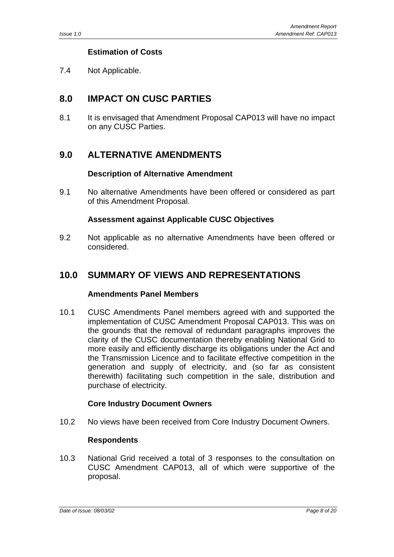### **Estimation of Costs**

<span id="page-7-0"></span>7.4 Not Applicable.

## **8.0 IMPACT ON CUSC PARTIES**

8.1 It is envisaged that Amendment Proposal CAP013 will have no impact on any CUSC Parties.

## **9.0 ALTERNATIVE AMENDMENTS**

#### **Description of Alternative Amendment**

9.1 No alternative Amendments have been offered or considered as part of this Amendment Proposal.

#### **Assessment against Applicable CUSC Objectives**

9.2 Not applicable as no alternative Amendments have been offered or considered.

## **10.0 SUMMARY OF VIEWS AND REPRESENTATIONS**

#### **Amendments Panel Members**

10.1 CUSC Amendments Panel members agreed with and supported the implementation of CUSC Amendment Proposal CAP013. This was on the grounds that the removal of redundant paragraphs improves the clarity of the CUSC documentation thereby enabling National Grid to more easily and efficiently discharge its obligations under the Act and the Transmission Licence and to facilitate effective competition in the generation and supply of electricity, and (so far as consistent therewith) facilitating such competition in the sale, distribution and purchase of electricity.

#### **Core Industry Document Owners**

10.2 No views have been received from Core Industry Document Owners.

#### **Respondents**

10.3 National Grid received a total of 3 responses to the consultation on CUSC Amendment CAP013, all of which were supportive of the proposal.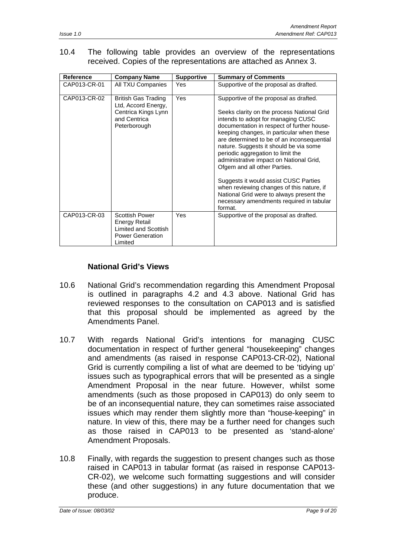#### 10.4 The following table provides an overview of the representations received. Copies of the representations are attached as Annex 3.

| Reference    | <b>Company Name</b>                                                                               | <b>Supportive</b> | <b>Summary of Comments</b>                                                                                                                                                                                                                                                                                                                                                                                                    |
|--------------|---------------------------------------------------------------------------------------------------|-------------------|-------------------------------------------------------------------------------------------------------------------------------------------------------------------------------------------------------------------------------------------------------------------------------------------------------------------------------------------------------------------------------------------------------------------------------|
| CAP013-CR-01 | All TXU Companies                                                                                 | Yes               | Supportive of the proposal as drafted.                                                                                                                                                                                                                                                                                                                                                                                        |
| CAP013-CR-02 | British Gas Trading<br>Ltd, Accord Energy,<br>Centrica Kings Lynn<br>and Centrica<br>Peterborough | Yes               | Supportive of the proposal as drafted.<br>Seeks clarity on the process National Grid<br>intends to adopt for managing CUSC<br>documentation in respect of further house-<br>keeping changes, in particular when these<br>are determined to be of an inconsequential<br>nature. Suggests it should be via some<br>periodic aggregation to limit the<br>administrative impact on National Grid,<br>Ofgem and all other Parties. |
| CAP013-CR-03 | <b>Scottish Power</b>                                                                             | Yes               | Suggests it would assist CUSC Parties<br>when reviewing changes of this nature, if<br>National Grid were to always present the<br>necessary amendments required in tabular<br>format.<br>Supportive of the proposal as drafted.                                                                                                                                                                                               |
|              | Energy Retail<br>Limited and Scottish<br><b>Power Generation</b><br>Limited                       |                   |                                                                                                                                                                                                                                                                                                                                                                                                                               |

#### **National Grid's Views**

- 10.6 National Grid's recommendation regarding this Amendment Proposal is outlined in paragraphs 4.2 and 4.3 above. National Grid has reviewed responses to the consultation on CAP013 and is satisfied that this proposal should be implemented as agreed by the Amendments Panel.
- 10.7 With regards National Grid's intentions for managing CUSC documentation in respect of further general "housekeeping" changes and amendments (as raised in response CAP013-CR-02), National Grid is currently compiling a list of what are deemed to be 'tidying up' issues such as typographical errors that will be presented as a single Amendment Proposal in the near future. However, whilst some amendments (such as those proposed in CAP013) do only seem to be of an inconsequential nature, they can sometimes raise associated issues which may render them slightly more than "house-keeping" in nature. In view of this, there may be a further need for changes such as those raised in CAP013 to be presented as 'stand-alone' Amendment Proposals.
- 10.8 Finally, with regards the suggestion to present changes such as those raised in CAP013 in tabular format (as raised in response CAP013- CR-02), we welcome such formatting suggestions and will consider these (and other suggestions) in any future documentation that we produce.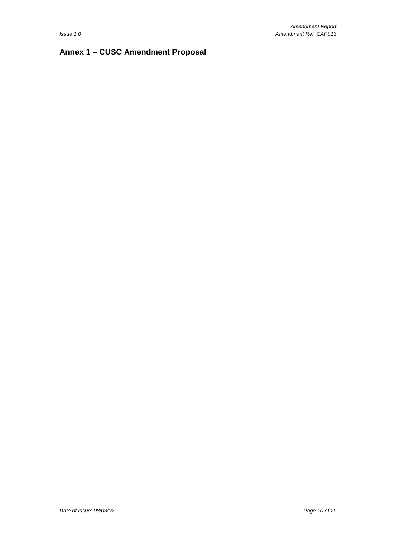## <span id="page-9-0"></span>**Annex 1 – CUSC Amendment Proposal**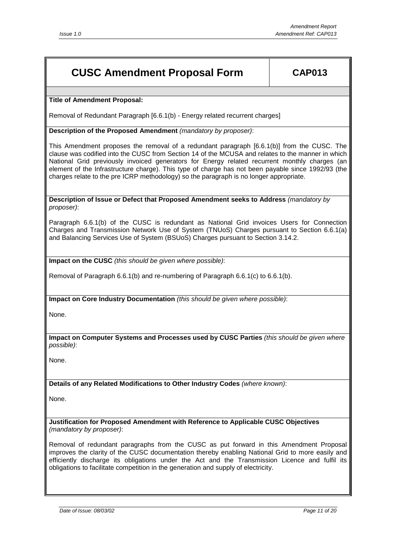## **CUSC Amendment Proposal Form CAP013**

#### **Title of Amendment Proposal:**

Removal of Redundant Paragraph [6.6.1(b) - Energy related recurrent charges]

**Description of the Proposed Amendment** *(mandatory by proposer)*:

This Amendment proposes the removal of a redundant paragraph [6.6.1(b)] from the CUSC. The clause was codified into the CUSC from Section 14 of the MCUSA and relates to the manner in which National Grid previously invoiced generators for Energy related recurrent monthly charges (an element of the Infrastructure charge). This type of charge has not been payable since 1992/93 (the charges relate to the pre ICRP methodology) so the paragraph is no longer appropriate.

**Description of Issue or Defect that Proposed Amendment seeks to Address** *(mandatory by proposer)*:

Paragraph 6.6.1(b) of the CUSC is redundant as National Grid invoices Users for Connection Charges and Transmission Network Use of System (TNUoS) Charges pursuant to Section 6.6.1(a) and Balancing Services Use of System (BSUoS) Charges pursuant to Section 3.14.2.

**Impact on the CUSC** *(this should be given where possible)*:

Removal of Paragraph 6.6.1(b) and re-numbering of Paragraph 6.6.1(c) to 6.6.1(b).

**Impact on Core Industry Documentation** *(this should be given where possible)*:

None.

**Impact on Computer Systems and Processes used by CUSC Parties** *(this should be given where possible)*:

None.

**Details of any Related Modifications to Other Industry Codes** *(where known)*:

None.

**Justification for Proposed Amendment with Reference to Applicable CUSC Objectives** *(mandatory by proposer)*:

Removal of redundant paragraphs from the CUSC as put forward in this Amendment Proposal improves the clarity of the CUSC documentation thereby enabling National Grid to more easily and efficiently discharge its obligations under the Act and the Transmission Licence and fulfil its obligations to facilitate competition in the generation and supply of electricity.

*Date of Issue: 08/03/02 Page 11 of 20*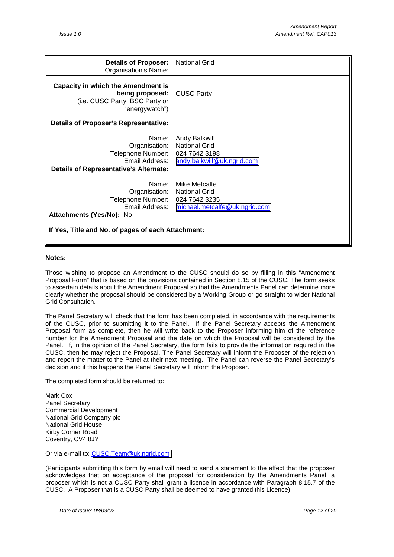| <b>Details of Proposer:</b><br>Organisation's Name:                                                              | <b>National Grid</b>                                                                 |
|------------------------------------------------------------------------------------------------------------------|--------------------------------------------------------------------------------------|
| <b>Capacity in which the Amendment is</b><br>being proposed:<br>(i.e. CUSC Party, BSC Party or<br>"energywatch") | <b>CUSC Party</b>                                                                    |
| <b>Details of Proposer's Representative:</b>                                                                     |                                                                                      |
| Name:<br>Organisation:<br>Telephone Number:<br>Email Address:<br><b>Details of Representative's Alternate:</b>   | Andy Balkwill<br><b>National Grid</b><br>024 7642 3198<br>andy.balkwill@uk.ngrid.com |
| Name:                                                                                                            | Mike Metcalfe                                                                        |
| Organisation:<br>Telephone Number:                                                                               | <b>National Grid</b><br>024 7642 3235                                                |
| Email Address:                                                                                                   | michael.metcalfe@uk.ngrid.com                                                        |
| Attachments (Yes/No): No                                                                                         |                                                                                      |
| If Yes, Title and No. of pages of each Attachment:                                                               |                                                                                      |

#### **Notes:**

Those wishing to propose an Amendment to the CUSC should do so by filling in this "Amendment Proposal Form" that is based on the provisions contained in Section 8.15 of the CUSC. The form seeks to ascertain details about the Amendment Proposal so that the Amendments Panel can determine more clearly whether the proposal should be considered by a Working Group or go straight to wider National Grid Consultation.

The Panel Secretary will check that the form has been completed, in accordance with the requirements of the CUSC, prior to submitting it to the Panel. If the Panel Secretary accepts the Amendment Proposal form as complete, then he will write back to the Proposer informing him of the reference number for the Amendment Proposal and the date on which the Proposal will be considered by the Panel. If, in the opinion of the Panel Secretary, the form fails to provide the information required in the CUSC, then he may reject the Proposal. The Panel Secretary will inform the Proposer of the rejection and report the matter to the Panel at their next meeting. The Panel can reverse the Panel Secretary's decision and if this happens the Panel Secretary will inform the Proposer.

The completed form should be returned to:

Mark Cox Panel Secretary Commercial Development National Grid Company plc National Grid House Kirby Corner Road Coventry, CV4 8JY

Or via e-mail to: [CUSC.Team@uk.ngrid.com](mailto:CUSC.Team@uk.ngrid.com)

(Participants submitting this form by email will need to send a statement to the effect that the proposer acknowledges that on acceptance of the proposal for consideration by the Amendments Panel, a proposer which is not a CUSC Party shall grant a licence in accordance with Paragraph 8.15.7 of the CUSC. A Proposer that is a CUSC Party shall be deemed to have granted this Licence).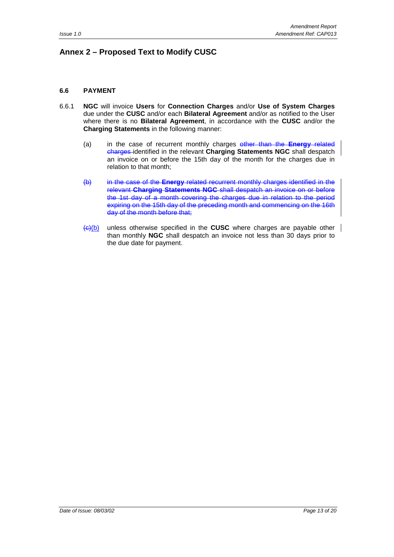### <span id="page-12-0"></span>**Annex 2 – Proposed Text to Modify CUSC**

#### **6.6 PAYMENT**

- 6.6.1 **NGC** will invoice **Users** for **Connection Charges** and/or **Use of System Charges** due under the **CUSC** and/or each **Bilateral Agreement** and/or as notified to the User where there is no **Bilateral Agreement**, in accordance with the **CUSC** and/or the **Charging Statements** in the following manner:
	- (a) in the case of recurrent monthly charges other than the **Energy** related charges identified in the relevant **Charging Statements NGC** shall despatch an invoice on or before the 15th day of the month for the charges due in relation to that month;
	- (b) in the case of the **Energy** related recurrent monthly charges identified in the relevant **Charging Statements NGC** shall despatch an invoice on or before the 1st day of a month covering the charges due in relation to the period expiring on the 15th day of the preceding month and commencing on the 16th day of the month before that;
	- (c)(b) unless otherwise specified in the **CUSC** where charges are payable other than monthly **NGC** shall despatch an invoice not less than 30 days prior to the due date for payment.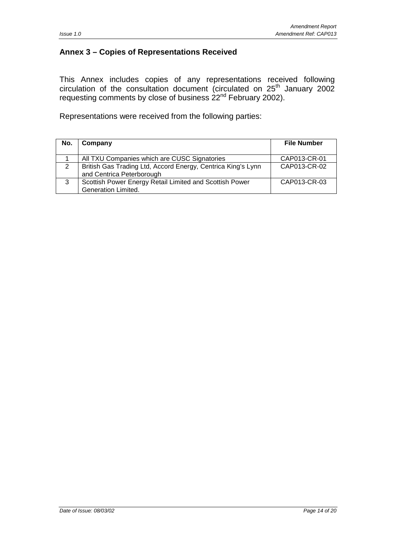#### <span id="page-13-0"></span>**Annex 3 – Copies of Representations Received**

This Annex includes copies of any representations received following circulation of the consultation document (circulated on  $25<sup>th</sup>$  January 2002 requesting comments by close of business  $22<sup>nd</sup>$  February 2002).

Representations were received from the following parties:

| No. | Company                                                                                   | <b>File Number</b> |
|-----|-------------------------------------------------------------------------------------------|--------------------|
|     | All TXU Companies which are CUSC Signatories                                              | CAP013-CR-01       |
| 2   | British Gas Trading Ltd, Accord Energy, Centrica King's Lynn<br>and Centrica Peterborough | CAP013-CR-02       |
| 3   | Scottish Power Energy Retail Limited and Scottish Power<br>Generation Limited.            | CAP013-CR-03       |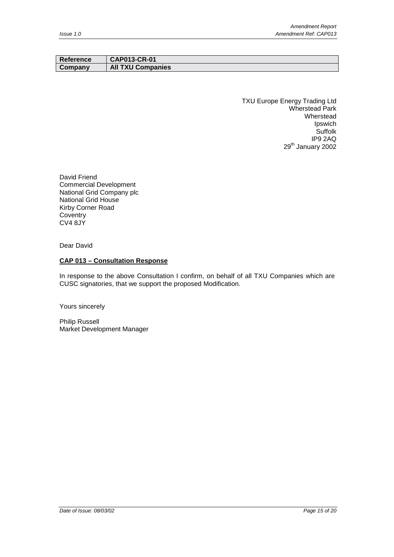| Reference | <b>CAP013-CR-01</b>      |
|-----------|--------------------------|
| Company   | <b>All TXU Companies</b> |

TXU Europe Energy Trading Ltd Wherstead Park Wherstead Ipswich **Suffolk** IP9 2AQ 29<sup>th</sup> January 2002

David Friend Commercial Development National Grid Company plc National Grid House Kirby Corner Road **Coventry** CV4 8JY

Dear David

#### **CAP 013 – Consultation Response**

In response to the above Consultation I confirm, on behalf of all TXU Companies which are CUSC signatories, that we support the proposed Modification.

Yours sincerely

Philip Russell Market Development Manager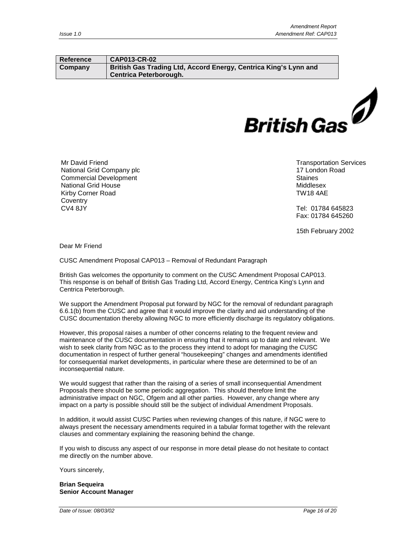#### **Reference CAP013-CR-02 Company British Gas Trading Ltd, Accord Energy, Centrica King's Lynn and Centrica Peterborough.**



Mr David Friend National Grid Company plc Commercial Development National Grid House Kirby Corner Road **Coventry** CV4 8JY

Transportation Services 17 London Road **Staines** Middlesex TW18 4AE

Tel: 01784 645823 Fax: 01784 645260

15th February 2002

Dear Mr Friend

CUSC Amendment Proposal CAP013 – Removal of Redundant Paragraph

British Gas welcomes the opportunity to comment on the CUSC Amendment Proposal CAP013. This response is on behalf of British Gas Trading Ltd, Accord Energy, Centrica King's Lynn and Centrica Peterborough.

We support the Amendment Proposal put forward by NGC for the removal of redundant paragraph 6.6.1(b) from the CUSC and agree that it would improve the clarity and aid understanding of the CUSC documentation thereby allowing NGC to more efficiently discharge its regulatory obligations.

However, this proposal raises a number of other concerns relating to the frequent review and maintenance of the CUSC documentation in ensuring that it remains up to date and relevant. We wish to seek clarity from NGC as to the process they intend to adopt for managing the CUSC documentation in respect of further general "housekeeping" changes and amendments identified for consequential market developments, in particular where these are determined to be of an inconsequential nature.

We would suggest that rather than the raising of a series of small inconsequential Amendment Proposals there should be some periodic aggregation. This should therefore limit the administrative impact on NGC, Ofgem and all other parties. However, any change where any impact on a party is possible should still be the subject of individual Amendment Proposals.

In addition, it would assist CUSC Parties when reviewing changes of this nature, if NGC were to always present the necessary amendments required in a tabular format together with the relevant clauses and commentary explaining the reasoning behind the change.

If you wish to discuss any aspect of our response in more detail please do not hesitate to contact me directly on the number above.

Yours sincerely,

**Brian Sequeira Senior Account Manager**

*Date of Issue: 08/03/02 Page 16 of 20*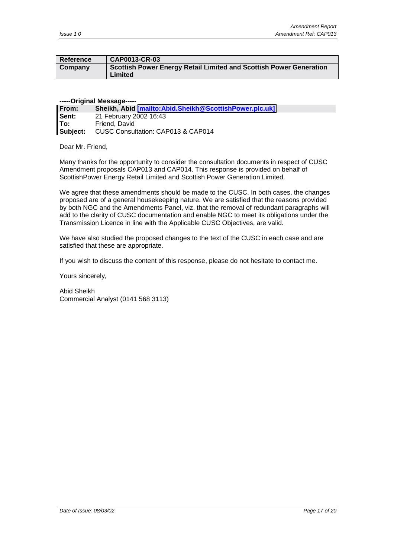| Reference | CAP0013-CR-03                                                                 |
|-----------|-------------------------------------------------------------------------------|
| Company   | Scottish Power Energy Retail Limited and Scottish Power Generation<br>Limited |

#### **-----Original Message-----**

| <b>From:</b> | Sheikh, Abid [mailto:Abid.Sheikh@ScottishPower.plc.uk] |
|--------------|--------------------------------------------------------|
| l Sent:      | 21 February 2002 16:43                                 |
| lTo:         | Friend, David                                          |
| Subject:     | CUSC Consultation: CAP013 & CAP014                     |

Dear Mr. Friend,

Many thanks for the opportunity to consider the consultation documents in respect of CUSC Amendment proposals CAP013 and CAP014. This response is provided on behalf of ScottishPower Energy Retail Limited and Scottish Power Generation Limited.

We agree that these amendments should be made to the CUSC. In both cases, the changes proposed are of a general housekeeping nature. We are satisfied that the reasons provided by both NGC and the Amendments Panel, viz. that the removal of redundant paragraphs will add to the clarity of CUSC documentation and enable NGC to meet its obligations under the Transmission Licence in line with the Applicable CUSC Objectives, are valid.

We have also studied the proposed changes to the text of the CUSC in each case and are satisfied that these are appropriate.

If you wish to discuss the content of this response, please do not hesitate to contact me.

Yours sincerely,

Abid Sheikh Commercial Analyst (0141 568 3113)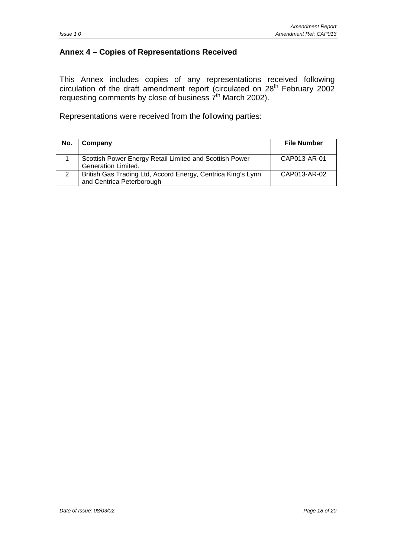#### <span id="page-17-0"></span>**Annex 4 – Copies of Representations Received**

This Annex includes copies of any representations received following circulation of the draft amendment report (circulated on  $28<sup>th</sup>$  February 2002 requesting comments by close of business  $7<sup>th</sup>$  March 2002).

Representations were received from the following parties:

| No. | Company                                                                                   | <b>File Number</b> |
|-----|-------------------------------------------------------------------------------------------|--------------------|
|     | Scottish Power Energy Retail Limited and Scottish Power<br><b>Generation Limited.</b>     | CAP013-AR-01       |
| 2   | British Gas Trading Ltd, Accord Energy, Centrica King's Lynn<br>and Centrica Peterborough | CAP013-AR-02       |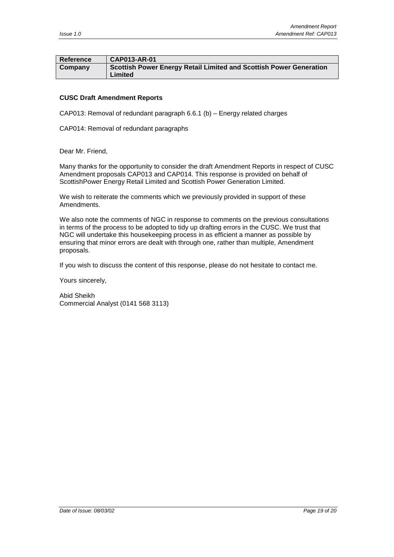| Reference | <b>CAP013-AR-01</b>                                                           |
|-----------|-------------------------------------------------------------------------------|
| Company   | Scottish Power Energy Retail Limited and Scottish Power Generation<br>Limited |

#### **CUSC Draft Amendment Reports**

CAP013: Removal of redundant paragraph 6.6.1 (b) – Energy related charges

CAP014: Removal of redundant paragraphs

Dear Mr. Friend,

Many thanks for the opportunity to consider the draft Amendment Reports in respect of CUSC Amendment proposals CAP013 and CAP014. This response is provided on behalf of ScottishPower Energy Retail Limited and Scottish Power Generation Limited.

We wish to reiterate the comments which we previously provided in support of these Amendments.

We also note the comments of NGC in response to comments on the previous consultations in terms of the process to be adopted to tidy up drafting errors in the CUSC. We trust that NGC will undertake this housekeeping process in as efficient a manner as possible by ensuring that minor errors are dealt with through one, rather than multiple, Amendment proposals.

If you wish to discuss the content of this response, please do not hesitate to contact me.

Yours sincerely,

Abid Sheikh Commercial Analyst (0141 568 3113)